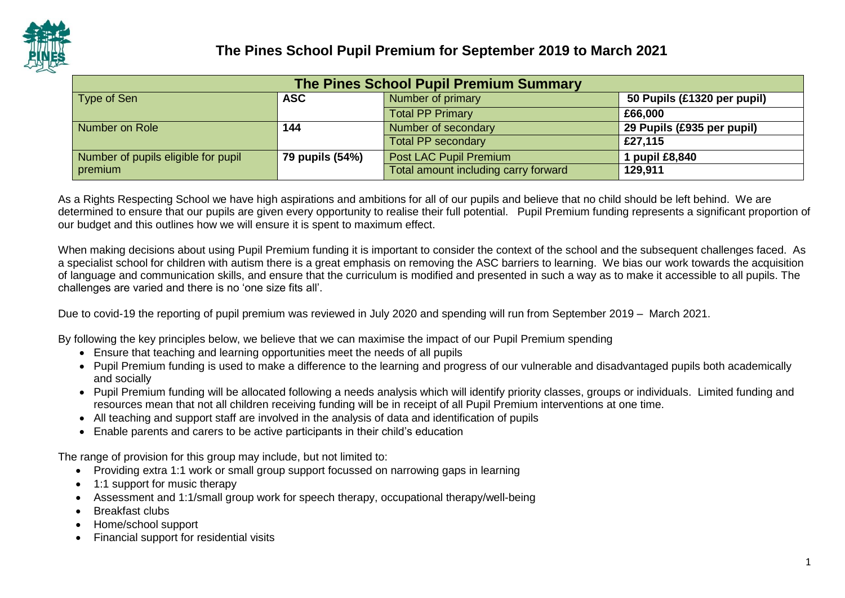

| The Pines School Pupil Premium Summary                                        |                 |                                      |                            |  |  |  |
|-------------------------------------------------------------------------------|-----------------|--------------------------------------|----------------------------|--|--|--|
| Number of primary<br>Type of Sen<br><b>ASC</b><br>50 Pupils (£1320 per pupil) |                 |                                      |                            |  |  |  |
|                                                                               |                 | <b>Total PP Primary</b>              | £66,000                    |  |  |  |
| Number on Role                                                                | 144             | Number of secondary                  | 29 Pupils (£935 per pupil) |  |  |  |
|                                                                               |                 | <b>Total PP secondary</b>            | £27,115                    |  |  |  |
| Number of pupils eligible for pupil                                           | 79 pupils (54%) | Post LAC Pupil Premium               | 1 pupil £8,840             |  |  |  |
| premium                                                                       |                 | Total amount including carry forward | 129,911                    |  |  |  |

As a Rights Respecting School we have high aspirations and ambitions for all of our pupils and believe that no child should be left behind. We are determined to ensure that our pupils are given every opportunity to realise their full potential. Pupil Premium funding represents a significant proportion of our budget and this outlines how we will ensure it is spent to maximum effect.

When making decisions about using Pupil Premium funding it is important to consider the context of the school and the subsequent challenges faced. As a specialist school for children with autism there is a great emphasis on removing the ASC barriers to learning. We bias our work towards the acquisition of language and communication skills, and ensure that the curriculum is modified and presented in such a way as to make it accessible to all pupils. The challenges are varied and there is no 'one size fits all'.

Due to covid-19 the reporting of pupil premium was reviewed in July 2020 and spending will run from September 2019 – March 2021.

By following the key principles below, we believe that we can maximise the impact of our Pupil Premium spending

- Ensure that teaching and learning opportunities meet the needs of all pupils
- Pupil Premium funding is used to make a difference to the learning and progress of our vulnerable and disadvantaged pupils both academically and socially
- Pupil Premium funding will be allocated following a needs analysis which will identify priority classes, groups or individuals. Limited funding and resources mean that not all children receiving funding will be in receipt of all Pupil Premium interventions at one time.
- All teaching and support staff are involved in the analysis of data and identification of pupils
- Enable parents and carers to be active participants in their child's education

The range of provision for this group may include, but not limited to:

- Providing extra 1:1 work or small group support focussed on narrowing gaps in learning
- 1:1 support for music therapy
- Assessment and 1:1/small group work for speech therapy, occupational therapy/well-being
- Breakfast clubs
- Home/school support
- Financial support for residential visits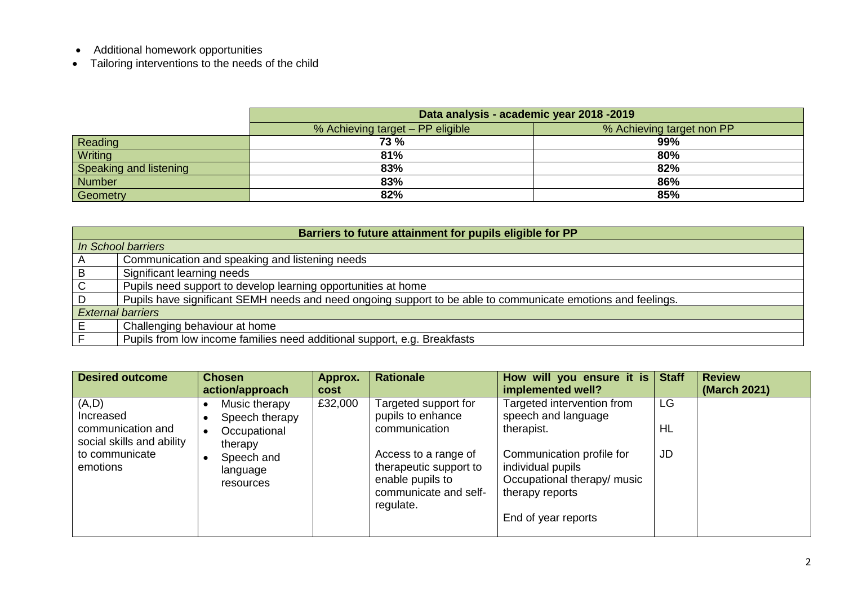- Additional homework opportunities
- Tailoring interventions to the needs of the child

|                        | Data analysis - academic year 2018 -2019                      |     |  |  |  |  |  |  |
|------------------------|---------------------------------------------------------------|-----|--|--|--|--|--|--|
|                        | % Achieving target - PP eligible<br>% Achieving target non PP |     |  |  |  |  |  |  |
| Reading                | <b>73 %</b>                                                   | 99% |  |  |  |  |  |  |
| Writing                | 81%                                                           | 80% |  |  |  |  |  |  |
| Speaking and listening | 83%                                                           | 82% |  |  |  |  |  |  |
| Number                 | 83%                                                           | 86% |  |  |  |  |  |  |
| Geometry               | 82%                                                           | 85% |  |  |  |  |  |  |

| Barriers to future attainment for pupils eligible for PP |                                                                                                              |  |  |  |  |  |
|----------------------------------------------------------|--------------------------------------------------------------------------------------------------------------|--|--|--|--|--|
|                                                          | In School barriers                                                                                           |  |  |  |  |  |
| $\mathsf{A}$                                             | Communication and speaking and listening needs                                                               |  |  |  |  |  |
| $\overline{B}$                                           | Significant learning needs                                                                                   |  |  |  |  |  |
| $\overline{C}$                                           | Pupils need support to develop learning opportunities at home                                                |  |  |  |  |  |
| D                                                        | Pupils have significant SEMH needs and need ongoing support to be able to communicate emotions and feelings. |  |  |  |  |  |
|                                                          | <b>External barriers</b>                                                                                     |  |  |  |  |  |
|                                                          | Challenging behaviour at home                                                                                |  |  |  |  |  |
|                                                          | Pupils from low income families need additional support, e.g. Breakfasts                                     |  |  |  |  |  |

| <b>Desired outcome</b>                         | <b>Chosen</b><br>action/approach    | Approx.<br>cost | <b>Rationale</b>                                                                                         | How will you ensure it is $ $<br>implemented well?                                                                      | <b>Staff</b> | <b>Review</b><br>(March 2021) |
|------------------------------------------------|-------------------------------------|-----------------|----------------------------------------------------------------------------------------------------------|-------------------------------------------------------------------------------------------------------------------------|--------------|-------------------------------|
| (A, D)<br>Increased                            | Music therapy<br>Speech therapy     | £32,000         | Targeted support for<br>pupils to enhance                                                                | Targeted intervention from<br>speech and language                                                                       | LG           |                               |
| communication and<br>social skills and ability | Occupational<br>therapy             |                 | communication                                                                                            | therapist.                                                                                                              | HL           |                               |
| to communicate<br>emotions                     | Speech and<br>language<br>resources |                 | Access to a range of<br>therapeutic support to<br>enable pupils to<br>communicate and self-<br>regulate. | Communication profile for<br>individual pupils<br>Occupational therapy/ music<br>therapy reports<br>End of year reports | <b>JD</b>    |                               |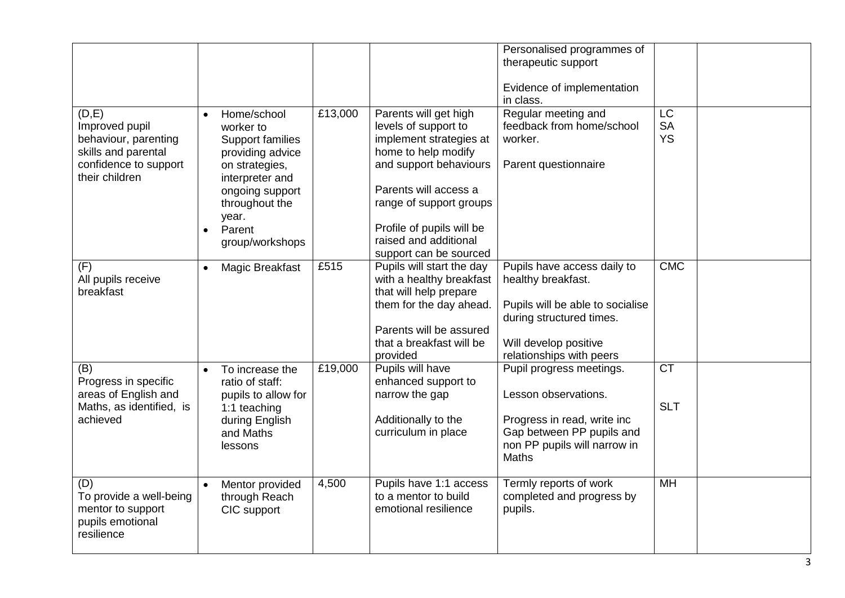|                          |           |                     |         |                           | Personalised programmes of       |            |  |
|--------------------------|-----------|---------------------|---------|---------------------------|----------------------------------|------------|--|
|                          |           |                     |         |                           | therapeutic support              |            |  |
|                          |           |                     |         |                           |                                  |            |  |
|                          |           |                     |         |                           | Evidence of implementation       |            |  |
|                          |           |                     |         |                           | in class.                        |            |  |
| (D,E)                    | $\bullet$ | Home/school         | £13,000 | Parents will get high     | Regular meeting and              | <b>LC</b>  |  |
|                          |           |                     |         |                           | feedback from home/school        | <b>SA</b>  |  |
| Improved pupil           |           | worker to           |         | levels of support to      |                                  |            |  |
| behaviour, parenting     |           | Support families    |         | implement strategies at   | worker.                          | <b>YS</b>  |  |
| skills and parental      |           | providing advice    |         | home to help modify       |                                  |            |  |
| confidence to support    |           | on strategies,      |         | and support behaviours    | Parent questionnaire             |            |  |
| their children           |           | interpreter and     |         |                           |                                  |            |  |
|                          |           | ongoing support     |         | Parents will access a     |                                  |            |  |
|                          |           | throughout the      |         | range of support groups   |                                  |            |  |
|                          |           | year.               |         |                           |                                  |            |  |
|                          | $\bullet$ | Parent              |         | Profile of pupils will be |                                  |            |  |
|                          |           | group/workshops     |         | raised and additional     |                                  |            |  |
|                          |           |                     |         | support can be sourced    |                                  |            |  |
| (F)                      | $\bullet$ | Magic Breakfast     | £515    | Pupils will start the day | Pupils have access daily to      | <b>CMC</b> |  |
| All pupils receive       |           |                     |         | with a healthy breakfast  | healthy breakfast.               |            |  |
| breakfast                |           |                     |         | that will help prepare    |                                  |            |  |
|                          |           |                     |         |                           |                                  |            |  |
|                          |           |                     |         | them for the day ahead.   | Pupils will be able to socialise |            |  |
|                          |           |                     |         |                           | during structured times.         |            |  |
|                          |           |                     |         | Parents will be assured   |                                  |            |  |
|                          |           |                     |         | that a breakfast will be  | Will develop positive            |            |  |
|                          |           |                     |         | provided                  | relationships with peers         |            |  |
| (B)                      | $\bullet$ | To increase the     | £19,000 | Pupils will have          | Pupil progress meetings.         | <b>CT</b>  |  |
| Progress in specific     |           | ratio of staff:     |         | enhanced support to       |                                  |            |  |
| areas of English and     |           | pupils to allow for |         | narrow the gap            | Lesson observations.             |            |  |
| Maths, as identified, is |           | 1:1 teaching        |         |                           |                                  | <b>SLT</b> |  |
| achieved                 |           | during English      |         | Additionally to the       | Progress in read, write inc      |            |  |
|                          |           | and Maths           |         | curriculum in place       | Gap between PP pupils and        |            |  |
|                          |           | lessons             |         |                           | non PP pupils will narrow in     |            |  |
|                          |           |                     |         |                           | <b>Maths</b>                     |            |  |
|                          |           |                     |         |                           |                                  |            |  |
| (D)                      | $\bullet$ | Mentor provided     | 4,500   | Pupils have 1:1 access    | Termly reports of work           | <b>MH</b>  |  |
| To provide a well-being  |           | through Reach       |         | to a mentor to build      | completed and progress by        |            |  |
|                          |           |                     |         |                           |                                  |            |  |
| mentor to support        |           | CIC support         |         | emotional resilience      | pupils.                          |            |  |
| pupils emotional         |           |                     |         |                           |                                  |            |  |
| resilience               |           |                     |         |                           |                                  |            |  |
|                          |           |                     |         |                           |                                  |            |  |